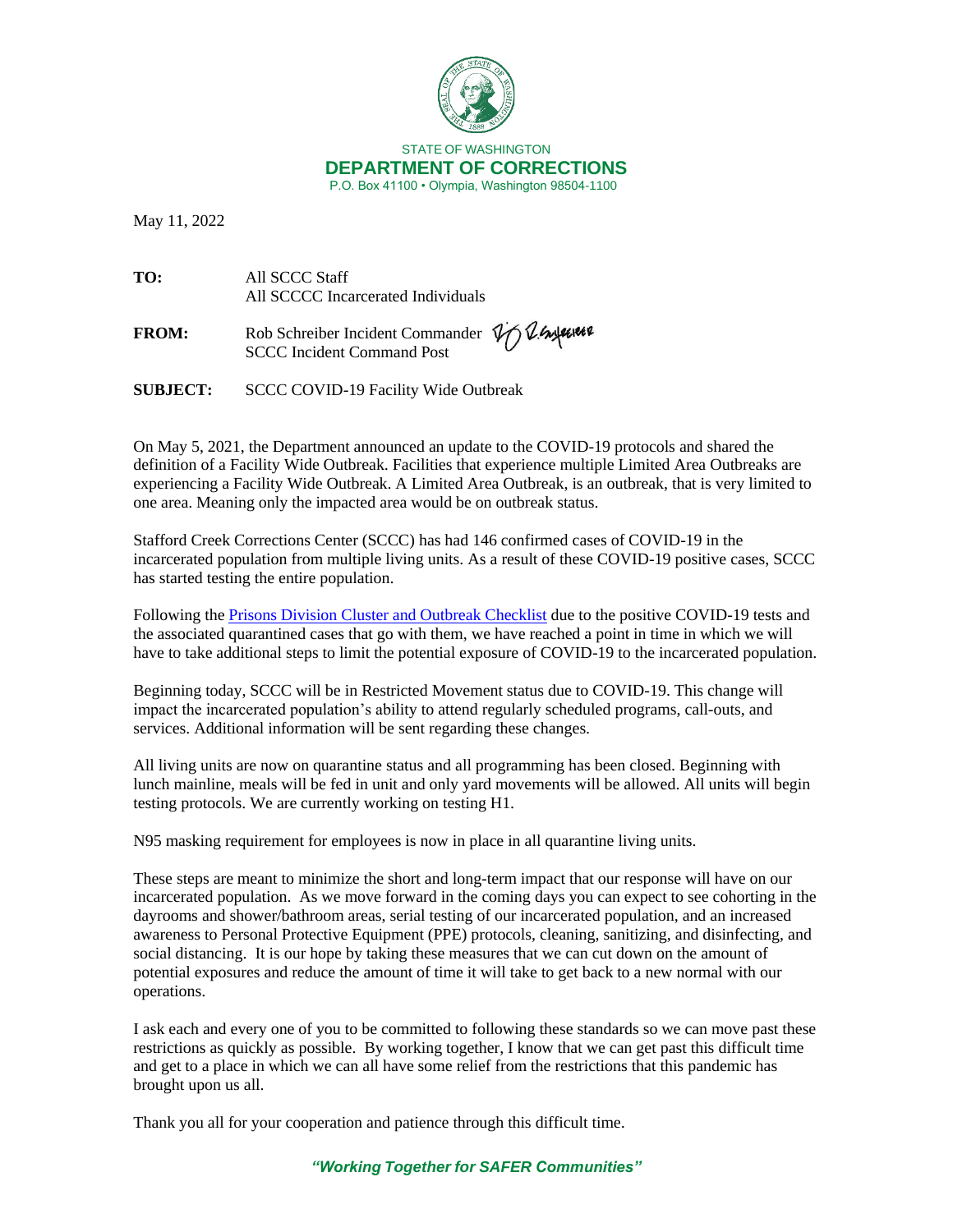

May 11, 2022

**TO:** All SCCC Staff All SCCCC Incarcerated Individuals

FROM: Rob Schreiber Incident Commander  $\psi$  & Experience SCCC Incident Command Post

**SUBJECT:** SCCC COVID-19 Facility Wide Outbreak

On May 5, 2021, the Department announced an update to the COVID-19 protocols and shared the definition of a Facility Wide Outbreak. Facilities that experience multiple Limited Area Outbreaks are experiencing a Facility Wide Outbreak. A Limited Area Outbreak, is an outbreak, that is very limited to one area. Meaning only the impacted area would be on outbreak status.

Stafford Creek Corrections Center (SCCC) has had 146 confirmed cases of COVID-19 in the incarcerated population from multiple living units. As a result of these COVID-19 positive cases, SCCC has started testing the entire population.

Following the [Prisons Division Cluster and Outbreak Checklist](https://doc.wa.gov/corrections/covid-19/docs/outbreak-checklist.pdf) due to the positive COVID-19 tests and the associated quarantined cases that go with them, we have reached a point in time in which we will have to take additional steps to limit the potential exposure of COVID-19 to the incarcerated population.

Beginning today, SCCC will be in Restricted Movement status due to COVID-19. This change will impact the incarcerated population's ability to attend regularly scheduled programs, call-outs, and services. Additional information will be sent regarding these changes.

All living units are now on quarantine status and all programming has been closed. Beginning with lunch mainline, meals will be fed in unit and only yard movements will be allowed. All units will begin testing protocols. We are currently working on testing H1.

N95 masking requirement for employees is now in place in all quarantine living units.

These steps are meant to minimize the short and long-term impact that our response will have on our incarcerated population. As we move forward in the coming days you can expect to see cohorting in the dayrooms and shower/bathroom areas, serial testing of our incarcerated population, and an increased awareness to Personal Protective Equipment (PPE) protocols, cleaning, sanitizing, and disinfecting, and social distancing. It is our hope by taking these measures that we can cut down on the amount of potential exposures and reduce the amount of time it will take to get back to a new normal with our operations.

I ask each and every one of you to be committed to following these standards so we can move past these restrictions as quickly as possible. By working together, I know that we can get past this difficult time and get to a place in which we can all have some relief from the restrictions that this pandemic has brought upon us all.

Thank you all for your cooperation and patience through this difficult time.

## *"Working Together for SAFER Communities"*